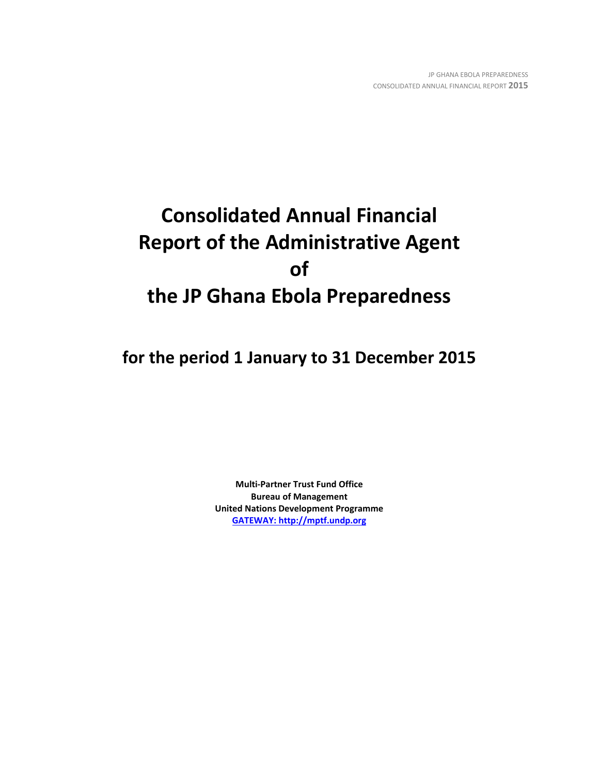# **Consolidated Annual Financial Report of the Administrative Agent of the JP Ghana Ebola Preparedness**

**for the period 1 January to 31 December 2015**

**Multi-Partner Trust Fund Office Bureau of Management United Nations Development Programme [GATEWAY: http://mptf.undp.org](http://mptf.undp.org/)**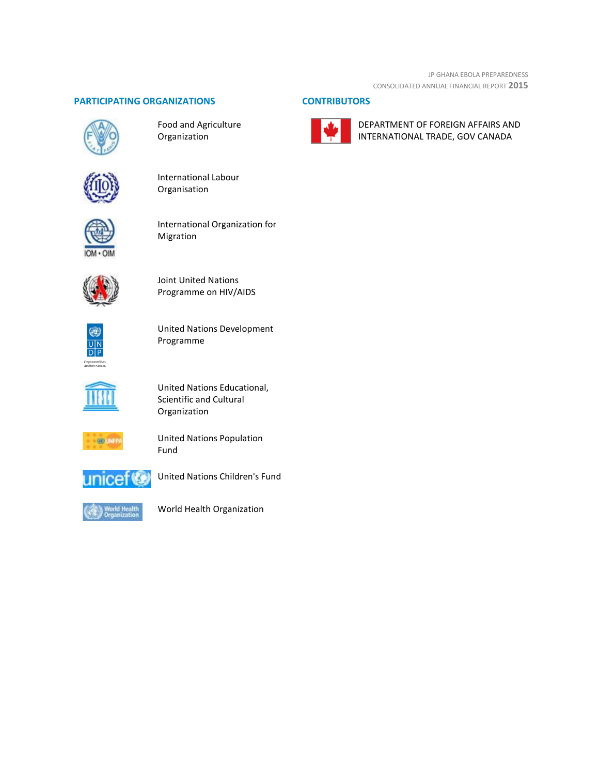# **PARTICIPATING ORGANIZATIONS CONTRIBUTORS**



Food and Agriculture Organization







International Organization for Migration



Joint United Nations Programme on HIV/AIDS

۹ 

United Nations Development Programme



United Nations Educational, Scientific and Cultural Organization



United Nations Population Fund



United Nations Children's Fund



World Health Organization



DEPARTMENT OF FOREIGN AFFAIRS AND INTERNATIONAL TRADE, GOV CANADA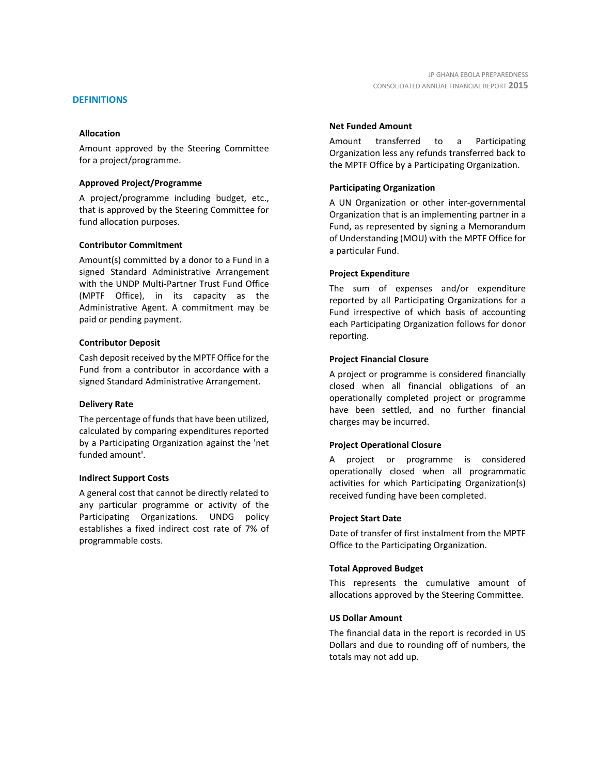# **DEFINITIONS**

# **Allocation**

Amount approved by the Steering Committee for a project/programme.

# **Approved Project/Programme**

A project/programme including budget, etc., that is approved by the Steering Committee for fund allocation purposes.

# **Contributor Commitment**

Amount(s) committed by a donor to a Fund in a signed Standard Administrative Arrangement with the UNDP Multi-Partner Trust Fund Office (MPTF Office), in its capacity as the Administrative Agent. A commitment may be paid or pending payment.

# **Contributor Deposit**

Cash deposit received by the MPTF Office for the Fund from a contributor in accordance with a signed Standard Administrative Arrangement.

# **Delivery Rate**

The percentage of funds that have been utilized, calculated by comparing expenditures reported by a Participating Organization against the 'net funded amount'.

# **Indirect Support Costs**

A general cost that cannot be directly related to any particular programme or activity of the Participating Organizations. UNDG policy establishes a fixed indirect cost rate of 7% of programmable costs.

# **Net Funded Amount**

Amount transferred to a Participating Organization less any refunds transferred back to the MPTF Office by a Participating Organization.

# **Participating Organization**

A UN Organization or other inter-governmental Organization that is an implementing partner in a Fund, as represented by signing a Memorandum of Understanding (MOU) with the MPTF Office for a particular Fund.

# **Project Expenditure**

The sum of expenses and/or expenditure reported by all Participating Organizations for a Fund irrespective of which basis of accounting each Participating Organization follows for donor reporting.

# **Project Financial Closure**

A project or programme is considered financially closed when all financial obligations of an operationally completed project or programme have been settled, and no further financial charges may be incurred.

# **Project Operational Closure**

A project or programme is considered operationally closed when all programmatic activities for which Participating Organization(s) received funding have been completed.

# **Project Start Date**

Date of transfer of first instalment from the MPTF Office to the Participating Organization.

# **Total Approved Budget**

This represents the cumulative amount of allocations approved by the Steering Committee.

# **US Dollar Amount**

The financial data in the report is recorded in US Dollars and due to rounding off of numbers, the totals may not add up.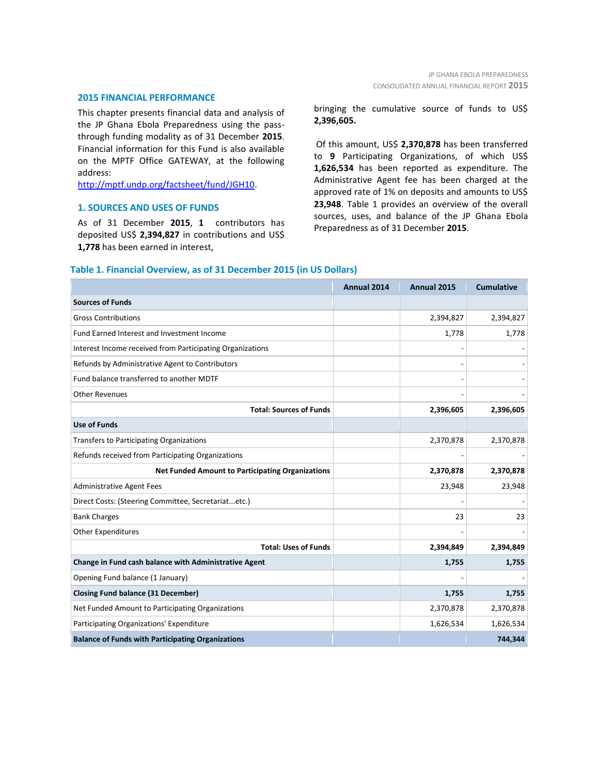# **2015 FINANCIAL PERFORMANCE**

This chapter presents financial data and analysis of the JP Ghana Ebola Preparedness using the passthrough funding modality as of 31 December **2015**. Financial information for this Fund is also available on the MPTF Office GATEWAY, at the following address:

[http://mptf.undp.org/factsheet/fund/JGH10.](http://mptf.undp.org/factsheet/fund/JGH10) 

# **1. SOURCES AND USES OF FUNDS**

As of 31 December **2015**, **1** contributors has deposited US\$ **2,394,827** in contributions and US\$ **1,778** has been earned in interest,

bringing the cumulative source of funds to US\$ **2,396,605.**

Of this amount, US\$ **2,370,878** has been transferred to **9** Participating Organizations, of which US\$ **1,626,534** has been reported as expenditure. The Administrative Agent fee has been charged at the approved rate of 1% on deposits and amounts to US\$ **23,948**. Table 1 provides an overview of the overall sources, uses, and balance of the JP Ghana Ebola Preparedness as of 31 December **2015**.

# **Table 1. Financial Overview, as of 31 December 2015 (in US Dollars)**

|                                                           | Annual 2014 | Annual 2015 | <b>Cumulative</b> |
|-----------------------------------------------------------|-------------|-------------|-------------------|
| <b>Sources of Funds</b>                                   |             |             |                   |
| <b>Gross Contributions</b>                                |             | 2,394,827   | 2,394,827         |
| Fund Earned Interest and Investment Income                |             | 1,778       | 1,778             |
| Interest Income received from Participating Organizations |             |             |                   |
| Refunds by Administrative Agent to Contributors           |             |             |                   |
| Fund balance transferred to another MDTF                  |             |             |                   |
| <b>Other Revenues</b>                                     |             |             |                   |
| <b>Total: Sources of Funds</b>                            |             | 2,396,605   | 2,396,605         |
| <b>Use of Funds</b>                                       |             |             |                   |
| Transfers to Participating Organizations                  |             | 2,370,878   | 2,370,878         |
| Refunds received from Participating Organizations         |             |             |                   |
| <b>Net Funded Amount to Participating Organizations</b>   |             | 2,370,878   | 2,370,878         |
| <b>Administrative Agent Fees</b>                          |             | 23,948      | 23,948            |
| Direct Costs: (Steering Committee, Secretariatetc.)       |             |             |                   |
| <b>Bank Charges</b>                                       |             | 23          | 23                |
| Other Expenditures                                        |             |             |                   |
| <b>Total: Uses of Funds</b>                               |             | 2,394,849   | 2,394,849         |
| Change in Fund cash balance with Administrative Agent     |             | 1,755       | 1,755             |
| Opening Fund balance (1 January)                          |             |             |                   |
| <b>Closing Fund balance (31 December)</b>                 |             | 1,755       | 1,755             |
| Net Funded Amount to Participating Organizations          |             | 2,370,878   | 2,370,878         |
| Participating Organizations' Expenditure                  |             | 1,626,534   | 1,626,534         |
| <b>Balance of Funds with Participating Organizations</b>  |             |             | 744,344           |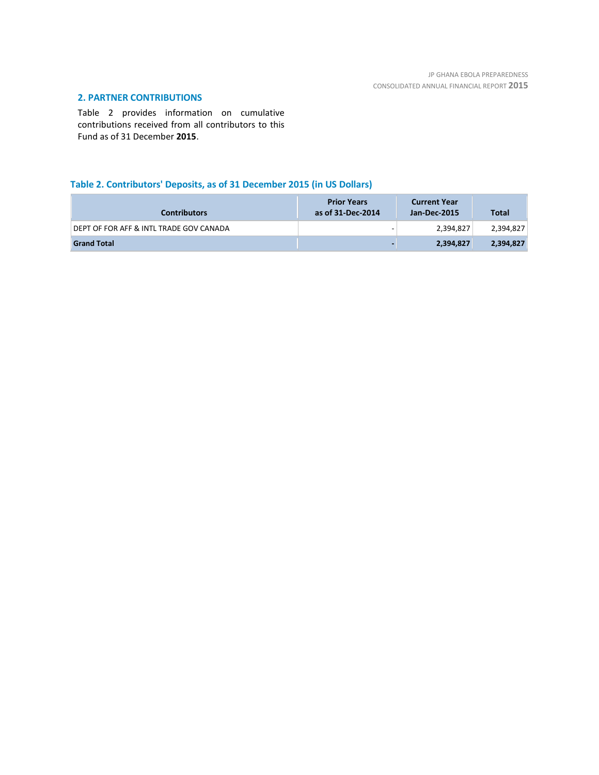# **2. PARTNER CONTRIBUTIONS**

Table 2 provides information on cumulative contributions received from all contributors to this Fund as of 31 December **2015**.

# **Table 2. Contributors' Deposits, as of 31 December 2015 (in US Dollars)**

| <b>Contributors</b>                     | <b>Prior Years</b><br>as of 31-Dec-2014 | <b>Current Year</b><br>Jan-Dec-2015 | <b>Total</b> |
|-----------------------------------------|-----------------------------------------|-------------------------------------|--------------|
| DEPT OF FOR AFF & INTL TRADE GOV CANADA |                                         | 2,394,827                           | 2,394,827    |
| <b>Grand Total</b>                      |                                         | 2,394,827                           | 2,394,827    |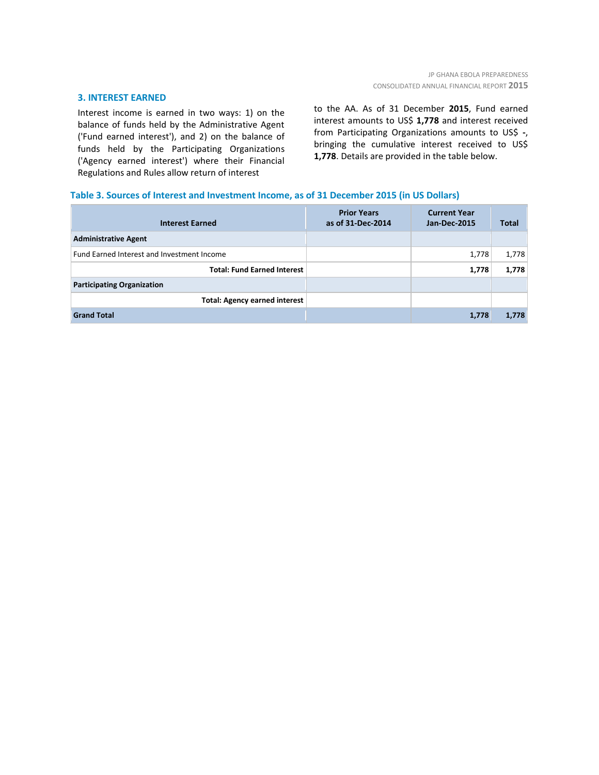# **3. INTEREST EARNED**

Interest income is earned in two ways: 1) on the balance of funds held by the Administrative Agent ('Fund earned interest'), and 2) on the balance of funds held by the Participating Organizations ('Agency earned interest') where their Financial Regulations and Rules allow return of interest

to the AA. As of 31 December **2015**, Fund earned interest amounts to US\$ **1,778** and interest received from Participating Organizations amounts to US\$ **-**, bringing the cumulative interest received to US\$ **1,778**. Details are provided in the table below.

# **Table 3. Sources of Interest and Investment Income, as of 31 December 2015 (in US Dollars)**

| <b>Interest Earned</b>                     | <b>Prior Years</b><br>as of 31-Dec-2014 | <b>Current Year</b><br>Jan-Dec-2015 | <b>Total</b> |
|--------------------------------------------|-----------------------------------------|-------------------------------------|--------------|
| <b>Administrative Agent</b>                |                                         |                                     |              |
| Fund Earned Interest and Investment Income |                                         | 1,778                               | 1,778        |
| <b>Total: Fund Earned Interest</b>         |                                         | 1,778                               | 1,778        |
| <b>Participating Organization</b>          |                                         |                                     |              |
| <b>Total: Agency earned interest</b>       |                                         |                                     |              |
| <b>Grand Total</b>                         |                                         | 1,778                               | 1,778        |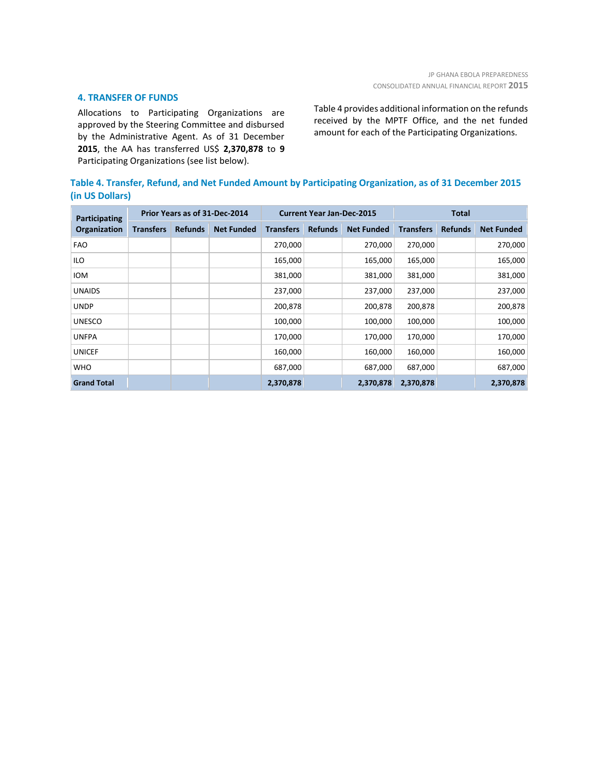# **4. TRANSFER OF FUNDS**

Allocations to Participating Organizations are approved by the Steering Committee and disbursed by the Administrative Agent. As of 31 December **2015**, the AA has transferred US\$ **2,370,878** to **9** Participating Organizations (see list below).

Table 4 provides additional information on the refunds received by the MPTF Office, and the net funded amount for each of the Participating Organizations.

| Table 4. Transfer, Refund, and Net Funded Amount by Participating Organization, as of 31 December 2015 |
|--------------------------------------------------------------------------------------------------------|
| (in US Dollars)                                                                                        |

| Participating<br>Organization | Prior Years as of 31-Dec-2014 |                |                   | <b>Current Year Jan-Dec-2015</b> |                |                   | <b>Total</b>     |                |                   |
|-------------------------------|-------------------------------|----------------|-------------------|----------------------------------|----------------|-------------------|------------------|----------------|-------------------|
|                               | <b>Transfers</b>              | <b>Refunds</b> | <b>Net Funded</b> | <b>Transfers</b>                 | <b>Refunds</b> | <b>Net Funded</b> | <b>Transfers</b> | <b>Refunds</b> | <b>Net Funded</b> |
| <b>FAO</b>                    |                               |                |                   | 270,000                          |                | 270,000           | 270,000          |                | 270,000           |
| <b>ILO</b>                    |                               |                |                   | 165,000                          |                | 165,000           | 165,000          |                | 165,000           |
| <b>IOM</b>                    |                               |                |                   | 381,000                          |                | 381,000           | 381,000          |                | 381,000           |
| <b>UNAIDS</b>                 |                               |                |                   | 237,000                          |                | 237,000           | 237,000          |                | 237,000           |
| <b>UNDP</b>                   |                               |                |                   | 200,878                          |                | 200,878           | 200,878          |                | 200,878           |
| <b>UNESCO</b>                 |                               |                |                   | 100,000                          |                | 100,000           | 100,000          |                | 100,000           |
| <b>UNFPA</b>                  |                               |                |                   | 170,000                          |                | 170,000           | 170,000          |                | 170,000           |
| <b>UNICEF</b>                 |                               |                |                   | 160,000                          |                | 160,000           | 160,000          |                | 160,000           |
| <b>WHO</b>                    |                               |                |                   | 687,000                          |                | 687,000           | 687,000          |                | 687,000           |
| <b>Grand Total</b>            |                               |                |                   | 2,370,878                        |                | 2,370,878         | 2,370,878        |                | 2,370,878         |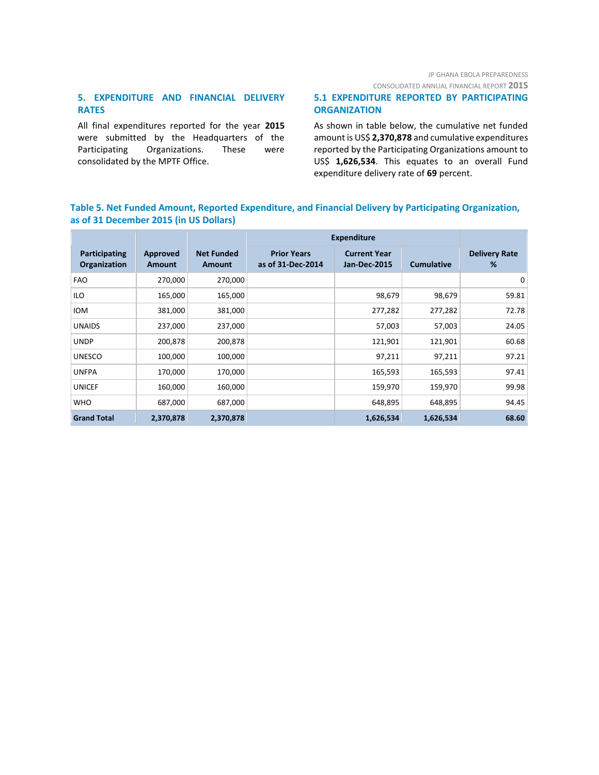# JP GHANA EBOLA PREPAREDNESS

CONSOLIDATED ANNUAL FINANCIAL REPORT **2015**

# **5. EXPENDITURE AND FINANCIAL DELIVERY RATES**

All final expenditures reported for the year **2015** were submitted by the Headquarters of the Participating Organizations. These were consolidated by the MPTF Office.

# **5.1 EXPENDITURE REPORTED BY PARTICIPATING ORGANIZATION**

As shown in table below, the cumulative net funded amount is US\$ **2,370,878** and cumulative expenditures reported by the Participating Organizations amount to US\$ **1,626,534**. This equates to an overall Fund expenditure delivery rate of **69** percent.

# **Table 5. Net Funded Amount, Reported Expenditure, and Financial Delivery by Participating Organization, as of 31 December 2015 (in US Dollars)**

|                                      |                    |                             | <b>Expenditure</b>                      |                                     |                   |                           |
|--------------------------------------|--------------------|-----------------------------|-----------------------------------------|-------------------------------------|-------------------|---------------------------|
| Participating<br><b>Organization</b> | Approved<br>Amount | <b>Net Funded</b><br>Amount | <b>Prior Years</b><br>as of 31-Dec-2014 | <b>Current Year</b><br>Jan-Dec-2015 | <b>Cumulative</b> | <b>Delivery Rate</b><br>% |
| <b>FAO</b>                           | 270,000            | 270,000                     |                                         |                                     |                   | $\mathbf 0$               |
| ILO                                  | 165,000            | 165,000                     |                                         | 98,679                              | 98,679            | 59.81                     |
| IOM                                  | 381,000            | 381,000                     |                                         | 277,282                             | 277,282           | 72.78                     |
| <b>UNAIDS</b>                        | 237,000            | 237,000                     |                                         | 57,003                              | 57,003            | 24.05                     |
| <b>UNDP</b>                          | 200,878            | 200,878                     |                                         | 121,901                             | 121,901           | 60.68                     |
| <b>UNESCO</b>                        | 100,000            | 100,000                     |                                         | 97,211                              | 97,211            | 97.21                     |
| <b>UNFPA</b>                         | 170,000            | 170,000                     |                                         | 165,593                             | 165,593           | 97.41                     |
| <b>UNICEF</b>                        | 160,000            | 160,000                     |                                         | 159,970                             | 159,970           | 99.98                     |
| <b>WHO</b>                           | 687,000            | 687,000                     |                                         | 648,895                             | 648,895           | 94.45                     |
| <b>Grand Total</b>                   | 2,370,878          | 2,370,878                   |                                         | 1,626,534                           | 1,626,534         | 68.60                     |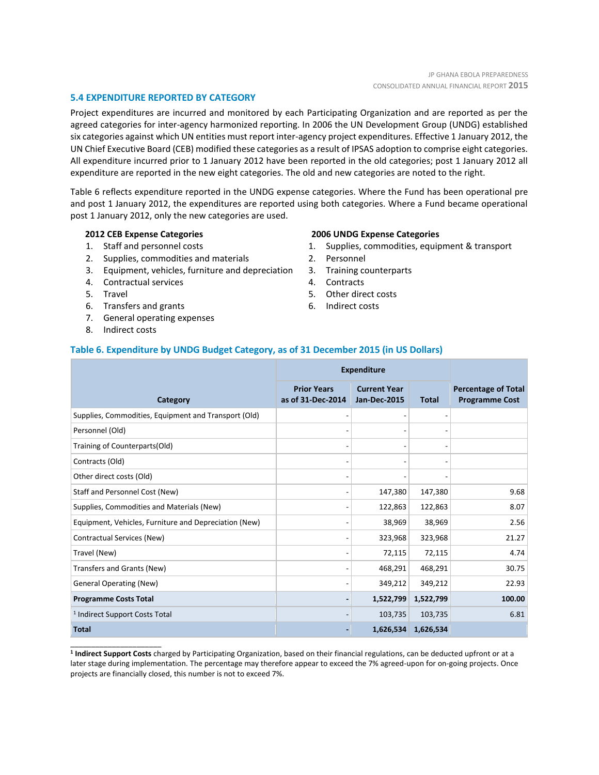# **5.4 EXPENDITURE REPORTED BY CATEGORY**

Project expenditures are incurred and monitored by each Participating Organization and are reported as per the agreed categories for inter-agency harmonized reporting. In 2006 the UN Development Group (UNDG) established six categories against which UN entities must report inter-agency project expenditures. Effective 1 January 2012, the UN Chief Executive Board (CEB) modified these categories as a result of IPSAS adoption to comprise eight categories. All expenditure incurred prior to 1 January 2012 have been reported in the old categories; post 1 January 2012 all expenditure are reported in the new eight categories. The old and new categories are noted to the right.

Table 6 reflects expenditure reported in the UNDG expense categories. Where the Fund has been operational pre and post 1 January 2012, the expenditures are reported using both categories. Where a Fund became operational post 1 January 2012, only the new categories are used.

# **2012 CEB Expense Categories**

- 1. Staff and personnel costs
- 2. Supplies, commodities and materials
- 3. Equipment, vehicles, furniture and depreciation
- 4. Contractual services
- 5. Travel
- 6. Transfers and grants
- 7. General operating expenses
- 8. Indirect costs

\_\_\_\_\_\_\_\_\_\_\_\_\_\_\_\_\_\_\_\_\_\_

#### **2006 UNDG Expense Categories**

- 1. Supplies, commodities, equipment & transport
- 2. Personnel
- 3. Training counterparts
- 4. Contracts
- 5. Other direct costs
- 6. Indirect costs

# **Table 6. Expenditure by UNDG Budget Category, as of 31 December 2015 (in US Dollars)**

|                                                       | <b>Expenditure</b>                      |                                            |              |                                                     |
|-------------------------------------------------------|-----------------------------------------|--------------------------------------------|--------------|-----------------------------------------------------|
| Category                                              | <b>Prior Years</b><br>as of 31-Dec-2014 | <b>Current Year</b><br><b>Jan-Dec-2015</b> | <b>Total</b> | <b>Percentage of Total</b><br><b>Programme Cost</b> |
| Supplies, Commodities, Equipment and Transport (Old)  |                                         | $\overline{\phantom{0}}$                   |              |                                                     |
| Personnel (Old)                                       |                                         | $\overline{\phantom{a}}$                   |              |                                                     |
| Training of Counterparts(Old)                         |                                         | $\overline{\phantom{a}}$                   |              |                                                     |
| Contracts (Old)                                       |                                         | $\overline{\phantom{0}}$                   |              |                                                     |
| Other direct costs (Old)                              |                                         |                                            |              |                                                     |
| Staff and Personnel Cost (New)                        |                                         | 147,380                                    | 147,380      | 9.68                                                |
| Supplies, Commodities and Materials (New)             |                                         | 122,863                                    | 122,863      | 8.07                                                |
| Equipment, Vehicles, Furniture and Depreciation (New) |                                         | 38,969                                     | 38,969       | 2.56                                                |
| Contractual Services (New)                            |                                         | 323,968                                    | 323,968      | 21.27                                               |
| Travel (New)                                          |                                         | 72,115                                     | 72,115       | 4.74                                                |
| Transfers and Grants (New)                            |                                         | 468,291                                    | 468,291      | 30.75                                               |
| <b>General Operating (New)</b>                        |                                         | 349,212                                    | 349,212      | 22.93                                               |
| <b>Programme Costs Total</b>                          |                                         | 1,522,799                                  | 1,522,799    | 100.00                                              |
| <sup>1</sup> Indirect Support Costs Total             |                                         | 103,735                                    | 103,735      | 6.81                                                |
| <b>Total</b>                                          |                                         | 1,626,534                                  | 1,626,534    |                                                     |

**1 Indirect Support Costs** charged by Participating Organization, based on their financial regulations, can be deducted upfront or at a later stage during implementation. The percentage may therefore appear to exceed the 7% agreed-upon for on-going projects. Once projects are financially closed, this number is not to exceed 7%.